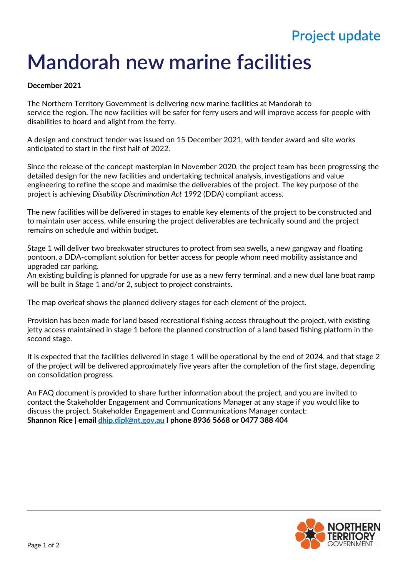## **Project update**

## **Mandorah new marine facilities**

## **December 2021**

The Northern Territory Government is delivering new marine facilities at Mandorah to service the region. The new facilities will be safer for ferry users and will improve access for people with disabilities to board and alight from the ferry.

A design and construct tender was issued on 15 December 2021, with tender award and site works anticipated to start in the first half of 2022.

Since the release of the concept masterplan in November 2020, the project team has been progressing the detailed design for the new facilities and undertaking technical analysis, investigations and value engineering to refine the scope and maximise the deliverables of the project. The key purpose of the project is achieving *Disability Discrimination Act* 1992 (DDA) compliant access.

The new facilities will be delivered in stages to enable key elements of the project to be constructed and to maintain user access, while ensuring the project deliverables are technically sound and the project remains on schedule and within budget.

Stage 1 will deliver two breakwater structures to protect from sea swells, a new gangway and floating pontoon, a DDA-compliant solution for better access for people whom need mobility assistance and upgraded car parking.

An existing building is planned for upgrade for use as a new ferry terminal, and a new dual lane boat ramp will be built in Stage 1 and/or 2, subject to project constraints.

The map overleaf shows the planned delivery stages for each element of the project.

Provision has been made for land based recreational fishing access throughout the project, with existing jetty access maintained in stage 1 before the planned construction of a land based fishing platform in the second stage.

It is expected that the facilities delivered in stage 1 will be operational by the end of 2024, and that stage 2 of the project will be delivered approximately five years after the completion of the first stage, depending on consolidation progress.

An FAQ document is provided to share further information about the project, and you are invited to contact the Stakeholder Engagement and Communications Manager at any stage if you would like to discuss the project. Stakeholder Engagement and Communications Manager contact: **Shannon Rice | email [dhip.dipl@nt.gov.au](mailto:dhip.dipl@nt.gov.au) I phone 8936 5668 or 0477 388 404**